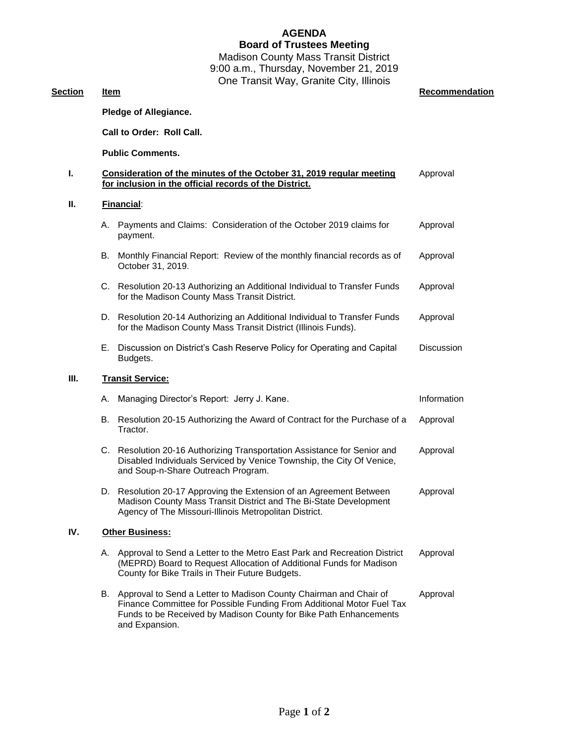## **AGENDA Board of Trustees Meeting**

Madison County Mass Transit District 9:00 a.m., Thursday, November 21, 2019 One Transit Way, Granite City, Illinois

**Section Item Recommendation** 

|      | Pledge of Allegiance.     |                                                                                                                                                                                                                                      |                   |  |
|------|---------------------------|--------------------------------------------------------------------------------------------------------------------------------------------------------------------------------------------------------------------------------------|-------------------|--|
|      | Call to Order: Roll Call. |                                                                                                                                                                                                                                      |                   |  |
|      | <b>Public Comments.</b>   |                                                                                                                                                                                                                                      |                   |  |
| Т.   |                           | Consideration of the minutes of the October 31, 2019 regular meeting<br>Approval<br>for inclusion in the official records of the District.                                                                                           |                   |  |
| П.   |                           | Financial:                                                                                                                                                                                                                           |                   |  |
|      | А.                        | Payments and Claims: Consideration of the October 2019 claims for<br>payment.                                                                                                                                                        | Approval          |  |
|      |                           | B. Monthly Financial Report: Review of the monthly financial records as of<br>October 31, 2019.                                                                                                                                      | Approval          |  |
|      |                           | C. Resolution 20-13 Authorizing an Additional Individual to Transfer Funds<br>for the Madison County Mass Transit District.                                                                                                          | Approval          |  |
|      | D.                        | Resolution 20-14 Authorizing an Additional Individual to Transfer Funds<br>for the Madison County Mass Transit District (Illinois Funds).                                                                                            | Approval          |  |
|      |                           | E. Discussion on District's Cash Reserve Policy for Operating and Capital<br>Budgets.                                                                                                                                                | <b>Discussion</b> |  |
| III. |                           | <b>Transit Service:</b>                                                                                                                                                                                                              |                   |  |
|      | А.                        | Managing Director's Report: Jerry J. Kane.                                                                                                                                                                                           | Information       |  |
|      | B.                        | Resolution 20-15 Authorizing the Award of Contract for the Purchase of a<br>Tractor.                                                                                                                                                 | Approval          |  |
|      |                           | C. Resolution 20-16 Authorizing Transportation Assistance for Senior and<br>Disabled Individuals Serviced by Venice Township, the City Of Venice,<br>and Soup-n-Share Outreach Program.                                              | Approval          |  |
|      |                           | D. Resolution 20-17 Approving the Extension of an Agreement Between<br>Madison County Mass Transit District and The Bi-State Development<br>Agency of The Missouri-Illinois Metropolitan District.                                   | Approval          |  |
| IV.  |                           | <b>Other Business:</b>                                                                                                                                                                                                               |                   |  |
|      | А.                        | Approval to Send a Letter to the Metro East Park and Recreation District<br>(MEPRD) Board to Request Allocation of Additional Funds for Madison<br>County for Bike Trails in Their Future Budgets.                                   | Approval          |  |
|      |                           | B. Approval to Send a Letter to Madison County Chairman and Chair of<br>Finance Committee for Possible Funding From Additional Motor Fuel Tax<br>Funds to be Received by Madison County for Bike Path Enhancements<br>and Expansion. | Approval          |  |